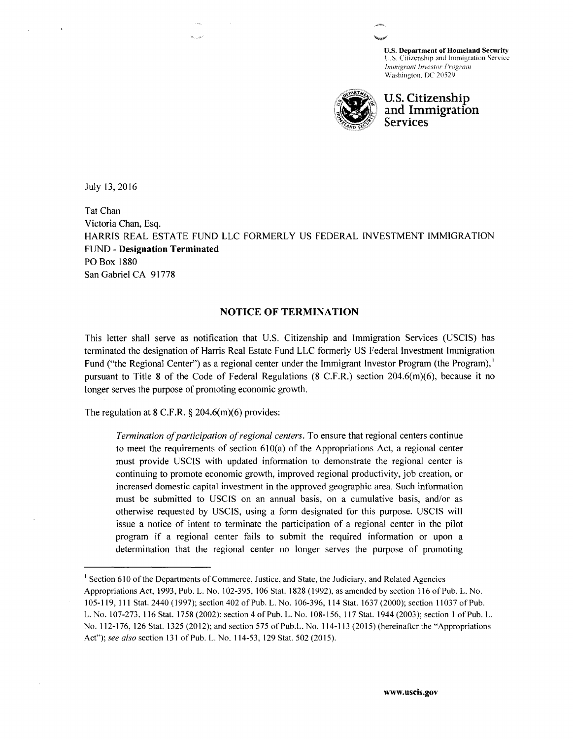U.S. Department of Homeland Security U.S. Citizenship and Immigration Service *!mnugrunl I nvcstor Program*  Washington. DC 20529



**U.S. Citizenship and Immigration Services** 

July 13, 2016

Tat Chan Victoria Chan, Esq. HARRIS REAL ESTATE FUND LLC FORMERLY US FEDERAL INVESTMENT IMMIGRATION FUND - **Designation Terminated**  PO Box 1880 San Gabriel CA 91778

# **NOTICE OF TERMINATION**

This letter shall serve as notification that U.S. Citizenship and Immigration Services (USCIS) has terminated the designation of Harris Real Estate Fund LLC formerly US Federal Investment Immigration Fund ("the Regional Center") as a regional center under the Immigrant Investor Program (the Program), pursuant to Title 8 of the Code of Federal Regulations (8 C.F.R.) section 204.6(m)(6), because it no longer serves the purpose of promoting economic growth.

The regulation at 8 C.F.R.  $\S$  204.6(m)(6) provides:

.<br>Kabupatèn

*Termination of participation of regional centers.* To ensure that regional centers continue to meet the requirements of section  $610(a)$  of the Appropriations Act, a regional center must provide USCIS with updated information to demonstrate the regional center is continuing to promote economic growth, improved regional productivity, job creation, or increased domestic capital investment in the approved geographic area. Such information must be submitted to USCIS on an annual basis, on a cumulative basis, and/or as otherwise requested by USCIS, using a form designated for this purpose. USCIS will issue a notice of intent to terminate the participation of a regional center in the pilot program if a regional center fails to submit the required information or upon a determination that the regional center no longer serves the purpose of promoting

<sup>&</sup>lt;sup>1</sup> Section 610 of the Departments of Commerce, Justice, and State, the Judiciary, and Related Agencies Appropriations Act, 1993, Pub. L. No. 102-395, 106 Stat. 1828 (1992), as amended by section 116 of Pub. L. No. 105-119, Ill Stat. 2440 (1997); section 402 ofPub. L. No. 106-396, 114 Stat. 1637 (2000); section 11037 of Pub. L. No. 107-273, 116 Stat. 1758 (2002); section 4 of Pub. L. No. 108-156, 117 Stat. 1944 (2003); section I ofPub. L. No. 112-176, 126 Stat. 1325 (2012); and section 575 of Pub.L. No. 114-113 (2015) (hereinafter the "Appropriations Act"); see also section 131 of Pub. L. No. 114-53, 129 Stat. 502 (2015).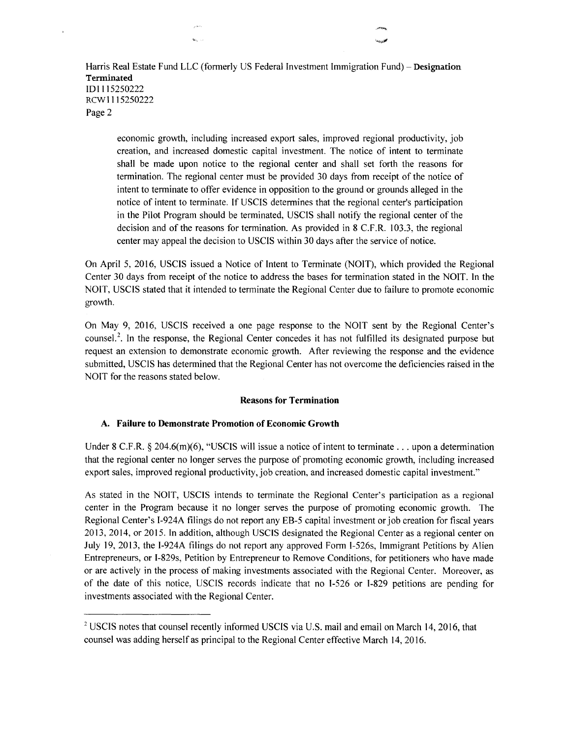Harris Real Estate Fund LLC (formerly US Federal Investment Immigration Fund)- **Designation Terminated**  101115250222 RCWI115250222 Page 2

 $\mathbf{q}_{\mathbf{q},\mathbf{q}}$  .

 $\ddot{\phantom{a}}$ 

economic growth, including increased export sales, improved regional productivity, job creation, and increased domestic capital investment. The notice of intent to terminate shall be made upon notice to the regional center and shall set forth the reasons for termination. The regional center must be provided 30 days from receipt of the notice of intent to terminate to offer evidence in opposition to the ground or grounds alleged in the notice of intent to terminate. If USCIS determines that the regional center's participation in the Pilot Program should be terminated, USCIS shall notify the regional center of the decision and of the reasons for termination. As provided in 8 C.F.R. 103.3, the regional center may appeal the decision to USCIS within 30 days after the service of notice.

On April 5, 2016, USCIS issued a Notice of Intent to Terminate (NOIT), which provided the Regional Center 30 days from receipt of the notice to address the bases for termination stated in the NOIT. In the NOIT, USCIS stated that it intended to terminate the Regional Center due to failure to promote economic growth.

On May 9, 2016, USCIS received a one page response to the NOIT sent by the Regional Center's counsel.<sup>2</sup>. In the response, the Regional Center concedes it has not fulfilled its designated purpose but request an extension to demonstrate economic growth. After reviewing the response and the evidence submitted, USCIS has determined that the Regional Center has not overcome the deficiencies raised in the NOIT for the reasons stated below.

#### **Reasons for Termination**

### **A. Failure to Demonstrate Promotion of Economic Growth**

Under 8 C.F.R. § 204.6(m)(6), "USCIS will issue a notice of intent to terminate ... upon a determination that the regional center no longer serves the purpose of promoting economic growth, including increased export sales, improved regional productivity, job creation, and increased domestic capital investment."

As stated in the NOIT, USCIS intends to terminate the Regional Center's participation as a regional center in the Program because it no longer serves the purpose of promoting economic growth. The Regional Center's I-924A filings do not report any EB-5 capital investment or job creation for fiscal years 2013, 2014, or 2015. In addition, although USC IS designated the Regional Center as a regional center on July 19, 2013, the I-924A filings do not report any approved Form I-526s, Immigrant Petitions by Alien Entrepreneurs, or I-829s, Petition by Entrepreneur to Remove Conditions, for petitioners who have made or are actively in the process of making investments associated with the Regional Center. Moreover, as of the date of this notice, USCIS records indicate that no I-526 or I-829 petitions are pending for investments associated with the Regional Center.

<sup>&</sup>lt;sup>2</sup> USCIS notes that counsel recently informed USCIS via U.S. mail and email on March 14, 2016, that counsel was adding herself as principal to the Regional Center effective March 14, 20 16.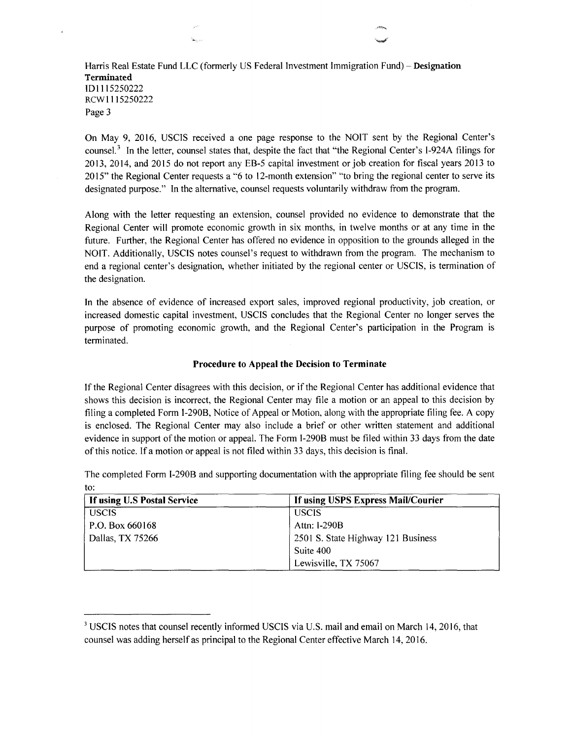## Harris Real Estate Fund LLC (formerly US Federal Investment Immigration Fund)- **Designation Terminated**  101115250222 RCW 1115250222 Page 3

.<br>Seriaa

On May 9, 2016, USCIS received a one page response to the NOIT sent by the Regional Center's counsel.<sup>3</sup> In the letter, counsel states that, despite the fact that "the Regional Center's I-924A filings for 2013, 2014, and 2015 do not report any EB-5 capital investment or job creation for fiscal years 2013 to 20 15" the Regional Center requests a "6 to 12-month extension" "to bring the regional center to serve its designated purpose." In the alternative, counsel requests voluntarily withdraw from the program.

·~·

Along with the letter requesting an extension, counsel provided no evidence to demonstrate that the Regional Center will promote economic growth in six months, in twelve months or at any time in the future. Further, the Regional Center has offered no evidence in opposition to the grounds alleged in the NOIT. Additionally, USCIS notes counsel's request to withdrawn from the program. The mechanism to end a regional center's designation, whether initiated by the regional center or USCIS, is termination of the designation.

In the absence of evidence of increased export sales, improved regional productivity, job creation, or increased domestic capital investment, USCIS concludes that the Regional Center no longer serves the purpose of promoting economic growth, and the Regional Center's participation in the Program is terminated.

#### **Procedure to Appeal the Decision to Terminate**

If the Regional Center disagrees with this decision, or if the Regional Center has additional evidence that shows this decision is incorrect, the Regional Center may file a motion or an appeal to this decision by filing a completed Form I-290B, Notice of Appeal or Motion, along with the appropriate filing fee. A copy is enclosed. The Regional Center may also include a brief or other written statement and additional evidence in support of the motion or appeal. The Form I-290B must be filed within 33 days from the date of this notice. If a motion or appeal is not filed within 33 days, this decision is final.

| If using U.S Postal Service | If using USPS Express Mail/Courier |
|-----------------------------|------------------------------------|
| <b>USCIS</b>                | <b>USCIS</b>                       |
| $\vert$ P.O. Box 660168     | Attn: I-290B                       |
| Dallas, TX 75266            | 2501 S. State Highway 121 Business |
|                             | Suite 400                          |
|                             | Lewisville, TX 75067               |

The completed Form I-290B and supporting documentation with the appropriate filing fee should be sent to:

<sup>&</sup>lt;sup>3</sup> USCIS notes that counsel recently informed USCIS via U.S. mail and email on March 14, 2016, that counsel was adding herself as principal to the Regional Center effective March 14, 2016.